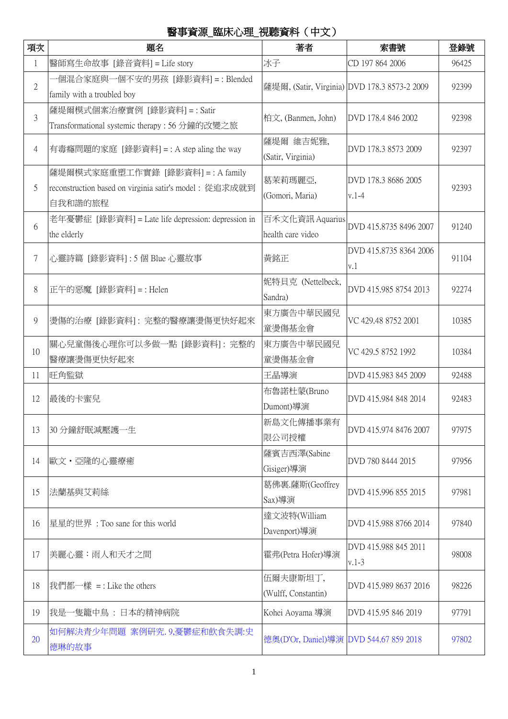## 醫事資源 臨床心理 視聽資料(中文)

| 項次             | 題名                                                                                                     | 著者                                           | 索書號                             | 登錄號   |
|----------------|--------------------------------------------------------------------------------------------------------|----------------------------------------------|---------------------------------|-------|
| 1              | 醫師寫生命故事 [錄音資料] = Life story                                                                            | 冰子                                           | CD 197 864 2006                 | 96425 |
| $\overline{2}$ | ·個混合家庭與一個不安的男孩 [錄影資料]=:Blended<br>family with a troubled boy                                           | 薩堤爾, (Satir, Virginia) DVD 178.3 8573-2 2009 |                                 | 92399 |
| 3              | 薩堤爾模式個案治療實例 [錄影資料] = : Satir<br>Transformational systemic therapy: 56 分鐘的改變之旅                          | 柏文, (Banmen, John)                           | DVD 178.4 846 2002              | 92398 |
| 4              | 有毒癮問題的家庭 [錄影資料] = : A step aling the way                                                               | 薩堤爾 維吉妮雅,<br>(Satir, Virginia)               | DVD 178.3 8573 2009             | 92397 |
| 5              | 薩堤爾模式家庭重塑工作實錄 [錄影資料] = : A family<br>reconstruction based on virginia satir's model: 從追求成就到<br>自我和諧的旅程 | 葛茉莉瑪麗亞,<br>(Gomori, Maria)                   | DVD 178.3 8686 2005<br>$v.1-4$  | 92393 |
| 6              | 老年憂鬱症 [錄影資料] = Late life depression: depression in<br>the elderly                                      | 百禾文化資訊 Aquarius<br>health care video         | DVD 415.8735 8496 2007          | 91240 |
| 7              | 心靈詩篇 [錄影資料] : 5 個 Blue 心靈故事                                                                            | 黃銘正                                          | DVD 415.8735 8364 2006<br>v.1   | 91104 |
| 8              | 正午的惡魔 [錄影資料] = : Helen                                                                                 | 妮特貝克 (Nettelbeck,<br>Sandra)                 | DVD 415.985 8754 2013           | 92274 |
| 9              | 燙傷的治療 [錄影資料]:完整的醫療讓燙傷更快好起來                                                                             | 東方廣告中華民國兒<br>童燙傷基金會                          | VC 429.48 8752 2001             | 10385 |
| 10             | 關心兒童傷後心理你可以多做一點 [錄影資料]: 完整的<br>醫療讓燙傷更快好起來                                                              | 東方廣告中華民國兒<br>童燙傷基金會                          | VC 429.5 8752 1992              | 10384 |
| 11             | 旺角監獄                                                                                                   | 王晶導演                                         | DVD 415.983 845 2009            | 92488 |
| 12             | 最後的卡蜜兒                                                                                                 | 布魯諾杜蒙(Bruno<br>Dumont)導演                     | DVD 415.984 848 2014            | 92483 |
| 13             | 30 分鐘舒眠減壓護一生                                                                                           | 新島文化傳播事業有<br>限公司授權                           | DVD 415.974 8476 2007           | 97975 |
| 14             | 歐文·亞隆的心靈療癒                                                                                             | 薩賓吉西澤(Sabine<br>Gisiger)導演                   | DVD 780 8444 2015               | 97956 |
| 15             | 法蘭基與艾莉絲                                                                                                | 葛佛裏.薩斯(Geoffrey<br>Sax)導演                    | DVD 415.996 855 2015            | 97981 |
| 16             | 星星的世界: Too sane for this world                                                                         | 達文波特(William<br>Davenport)導演                 | DVD 415.988 8766 2014           | 97840 |
| 17             | 美麗心靈:雨人和天才之間                                                                                           | 霍弗(Petra Hofer)導演                            | DVD 415.988 845 2011<br>$v.1-3$ | 98008 |
| 18             | 我們都一樣 = : Like the others                                                                              | 伍爾夫康斯坦丁,<br>(Wulff, Constantin)              | DVD 415.989 8637 2016           | 98226 |
| 19             | 我是一隻籠中鳥 : 日本的精神病院                                                                                      | Kohei Aoyama 導演                              | DVD 415.95 846 2019             | 97791 |
| 20             | 如何解决青少年問題 案例研究.9,憂鬱症和飲食失調:史<br>德琳的故事                                                                   | 德奧(D'Or, Daniel)導演 DVD 544.67 859 2018       |                                 | 97802 |